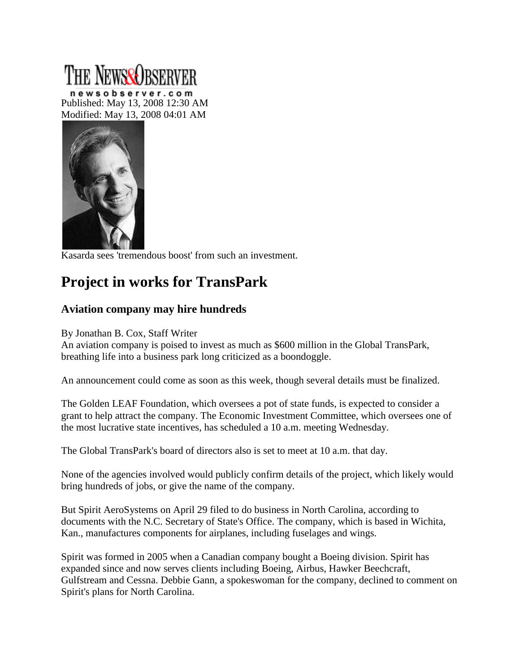## **NEWSCORSERVER**

newsobserver.com Published: May 13, 2008 12:30 AM Modified: May 13, 2008 04:01 AM



Kasarda sees 'tremendous boost' from such an investment.

## **Project in works for TransPark**

## **Aviation company may hire hundreds**

By Jonathan B. Cox, Staff Writer

An aviation company is poised to invest as much as \$600 million in the Global TransPark, breathing life into a business park long criticized as a boondoggle.

An announcement could come as soon as this week, though several details must be finalized.

The Golden LEAF Foundation, which oversees a pot of state funds, is expected to consider a grant to help attract the company. The Economic Investment Committee, which oversees one of the most lucrative state incentives, has scheduled a 10 a.m. meeting Wednesday.

The Global TransPark's board of directors also is set to meet at 10 a.m. that day.

None of the agencies involved would publicly confirm details of the project, which likely would bring hundreds of jobs, or give the name of the company.

But Spirit AeroSystems on April 29 filed to do business in North Carolina, according to documents with the N.C. Secretary of State's Office. The company, which is based in Wichita, Kan., manufactures components for airplanes, including fuselages and wings.

Spirit was formed in 2005 when a Canadian company bought a Boeing division. Spirit has expanded since and now serves clients including Boeing, Airbus, Hawker Beechcraft, Gulfstream and Cessna. Debbie Gann, a spokeswoman for the company, declined to comment on Spirit's plans for North Carolina.